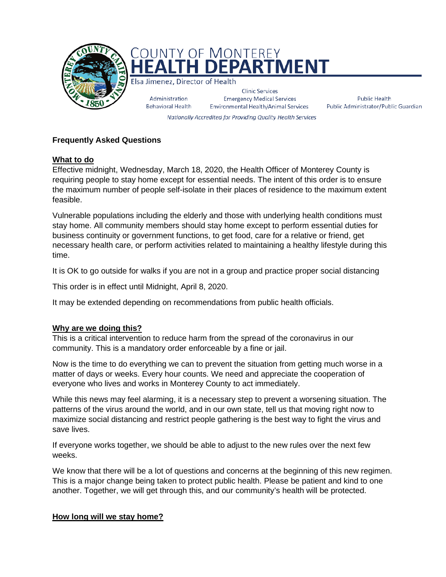

Public Health Public Administrator/Public Guardian

Nationally Accredited for Providing Quality Health Services

# **Frequently Asked Questions**

## **What to do**

Effective midnight, Wednesday, March 18, 2020, the Health Officer of Monterey County is requiring people to stay home except for essential needs. The intent of this order is to ensure the maximum number of people self-isolate in their places of residence to the maximum extent feasible.

Vulnerable populations including the elderly and those with underlying health conditions must stay home. All community members should stay home except to perform essential duties for business continuity or government functions, to get food, care for a relative or friend, get necessary health care, or perform activities related to maintaining a healthy lifestyle during this time.

It is OK to go outside for walks if you are not in a group and practice proper social distancing

This order is in effect until Midnight, April 8, 2020.

It may be extended depending on recommendations from public health officials.

# **Why are we doing this?**

This is a critical intervention to reduce harm from the spread of the coronavirus in our community. This is a mandatory order enforceable by a fine or jail.

Now is the time to do everything we can to prevent the situation from getting much worse in a matter of days or weeks. Every hour counts. We need and appreciate the cooperation of everyone who lives and works in Monterey County to act immediately.

While this news may feel alarming, it is a necessary step to prevent a worsening situation. The patterns of the virus around the world, and in our own state, tell us that moving right now to maximize social distancing and restrict people gathering is the best way to fight the virus and save lives.

If everyone works together, we should be able to adjust to the new rules over the next few weeks.

We know that there will be a lot of questions and concerns at the beginning of this new regimen. This is a major change being taken to protect public health. Please be patient and kind to one another. Together, we will get through this, and our community's health will be protected.

# **How long will we stay home?**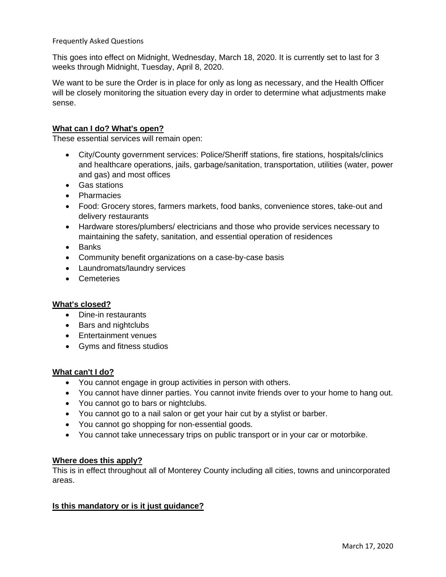This goes into effect on Midnight, Wednesday, March 18, 2020. It is currently set to last for 3 weeks through Midnight, Tuesday, April 8, 2020.

We want to be sure the Order is in place for only as long as necessary, and the Health Officer will be closely monitoring the situation every day in order to determine what adjustments make sense.

## **What can I do? What's open?**

These essential services will remain open:

- City/County government services: Police/Sheriff stations, fire stations, hospitals/clinics and healthcare operations, jails, garbage/sanitation, transportation, utilities (water, power and gas) and most offices
- Gas stations
- Pharmacies
- Food: Grocery stores, farmers markets, food banks, convenience stores, take-out and delivery restaurants
- Hardware stores/plumbers/ electricians and those who provide services necessary to maintaining the safety, sanitation, and essential operation of residences
- Banks
- Community benefit organizations on a case-by-case basis
- Laundromats/laundry services
- Cemeteries

#### **What's closed?**

- Dine-in restaurants
- Bars and nightclubs
- Entertainment venues
- Gyms and fitness studios

#### **What can't I do?**

- You cannot engage in group activities in person with others.
- You cannot have dinner parties. You cannot invite friends over to your home to hang out.
- You cannot go to bars or nightclubs.
- You cannot go to a nail salon or get your hair cut by a stylist or barber.
- You cannot go shopping for non-essential goods.
- You cannot take unnecessary trips on public transport or in your car or motorbike.

#### **Where does this apply?**

This is in effect throughout all of Monterey County including all cities, towns and unincorporated areas.

#### **Is this mandatory or is it just guidance?**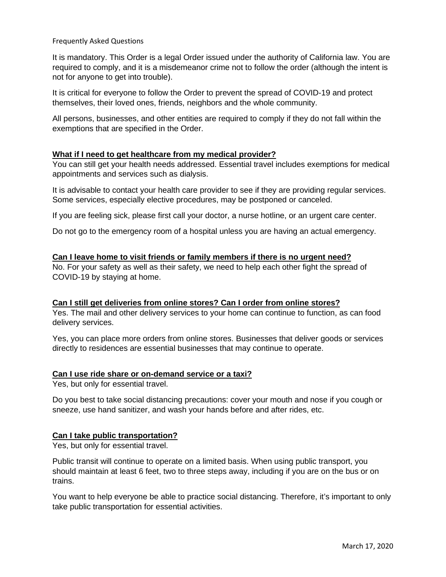It is mandatory. This Order is a legal Order issued under the authority of California law. You are required to comply, and it is a misdemeanor crime not to follow the order (although the intent is not for anyone to get into trouble).

It is critical for everyone to follow the Order to prevent the spread of COVID-19 and protect themselves, their loved ones, friends, neighbors and the whole community.

All persons, businesses, and other entities are required to comply if they do not fall within the exemptions that are specified in the Order.

#### **What if I need to get healthcare from my medical provider?**

You can still get your health needs addressed. Essential travel includes exemptions for medical appointments and services such as dialysis.

It is advisable to contact your health care provider to see if they are providing regular services. Some services, especially elective procedures, may be postponed or canceled.

If you are feeling sick, please first call your doctor, a nurse hotline, or an urgent care center.

Do not go to the emergency room of a hospital unless you are having an actual emergency.

#### **Can I leave home to visit friends or family members if there is no urgent need?**

No. For your safety as well as their safety, we need to help each other fight the spread of COVID-19 by staying at home.

## **Can I still get deliveries from online stores? Can I order from online stores?**

Yes. The mail and other delivery services to your home can continue to function, as can food delivery services.

Yes, you can place more orders from online stores. Businesses that deliver goods or services directly to residences are essential businesses that may continue to operate.

#### **Can I use ride share or on-demand service or a taxi?**

Yes, but only for essential travel.

Do you best to take social distancing precautions: cover your mouth and nose if you cough or sneeze, use hand sanitizer, and wash your hands before and after rides, etc.

#### **Can I take public transportation?**

Yes, but only for essential travel.

Public transit will continue to operate on a limited basis. When using public transport, you should maintain at least 6 feet, two to three steps away, including if you are on the bus or on trains.

You want to help everyone be able to practice social distancing. Therefore, it's important to only take public transportation for essential activities.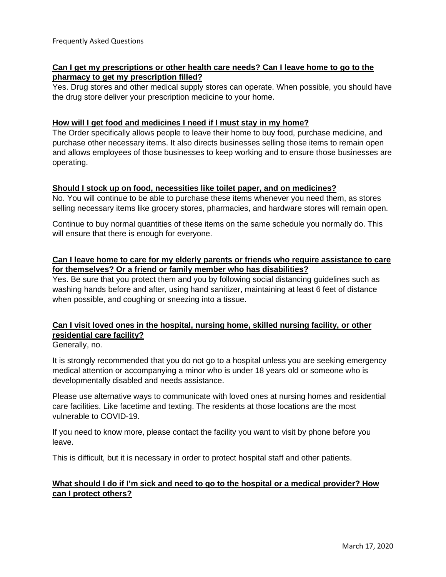# **Can I get my prescriptions or other health care needs? Can I leave home to go to the pharmacy to get my prescription filled?**

Yes. Drug stores and other medical supply stores can operate. When possible, you should have the drug store deliver your prescription medicine to your home.

# **How will I get food and medicines I need if I must stay in my home?**

The Order specifically allows people to leave their home to buy food, purchase medicine, and purchase other necessary items. It also directs businesses selling those items to remain open and allows employees of those businesses to keep working and to ensure those businesses are operating.

## **Should I stock up on food, necessities like toilet paper, and on medicines?**

No. You will continue to be able to purchase these items whenever you need them, as stores selling necessary items like grocery stores, pharmacies, and hardware stores will remain open.

Continue to buy normal quantities of these items on the same schedule you normally do. This will ensure that there is enough for everyone.

# **Can I leave home to care for my elderly parents or friends who require assistance to care for themselves? Or a friend or family member who has disabilities?**

Yes. Be sure that you protect them and you by following social distancing guidelines such as washing hands before and after, using hand sanitizer, maintaining at least 6 feet of distance when possible, and coughing or sneezing into a tissue.

# **Can I visit loved ones in the hospital, nursing home, skilled nursing facility, or other residential care facility?**

Generally, no.

It is strongly recommended that you do not go to a hospital unless you are seeking emergency medical attention or accompanying a minor who is under 18 years old or someone who is developmentally disabled and needs assistance.

Please use alternative ways to communicate with loved ones at nursing homes and residential care facilities. Like facetime and texting. The residents at those locations are the most vulnerable to COVID-19.

If you need to know more, please contact the facility you want to visit by phone before you leave.

This is difficult, but it is necessary in order to protect hospital staff and other patients.

# **What should I do if I'm sick and need to go to the hospital or a medical provider? How can I protect others?**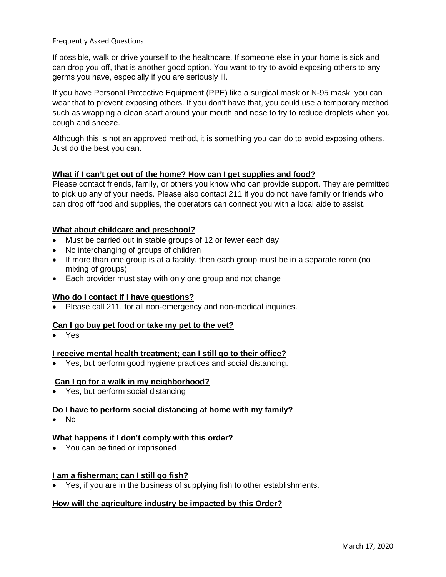If possible, walk or drive yourself to the healthcare. If someone else in your home is sick and can drop you off, that is another good option. You want to try to avoid exposing others to any germs you have, especially if you are seriously ill.

If you have Personal Protective Equipment (PPE) like a surgical mask or N-95 mask, you can wear that to prevent exposing others. If you don't have that, you could use a temporary method such as wrapping a clean scarf around your mouth and nose to try to reduce droplets when you cough and sneeze.

Although this is not an approved method, it is something you can do to avoid exposing others. Just do the best you can.

# **What if I can't get out of the home? How can I get supplies and food?**

Please contact friends, family, or others you know who can provide support. They are permitted to pick up any of your needs. Please also contact 211 if you do not have family or friends who can drop off food and supplies, the operators can connect you with a local aide to assist.

# **What about childcare and preschool?**

- Must be carried out in stable groups of 12 or fewer each day
- No interchanging of groups of children
- If more than one group is at a facility, then each group must be in a separate room (no mixing of groups)
- Each provider must stay with only one group and not change

#### **Who do I contact if I have questions?**

• Please call 211, for all non-emergency and non-medical inquiries.

### **Can I go buy pet food or take my pet to the vet?**

• Yes

#### **I receive mental health treatment; can I still go to their office?**

• Yes, but perform good hygiene practices and social distancing.

#### **Can I go for a walk in my neighborhood?**

• Yes, but perform social distancing

#### **Do I have to perform social distancing at home with my family?**

• No

#### **What happens if I don't comply with this order?**

• You can be fined or imprisoned

#### **I am a fisherman; can I still go fish?**

• Yes, if you are in the business of supplying fish to other establishments.

#### **How will the agriculture industry be impacted by this Order?**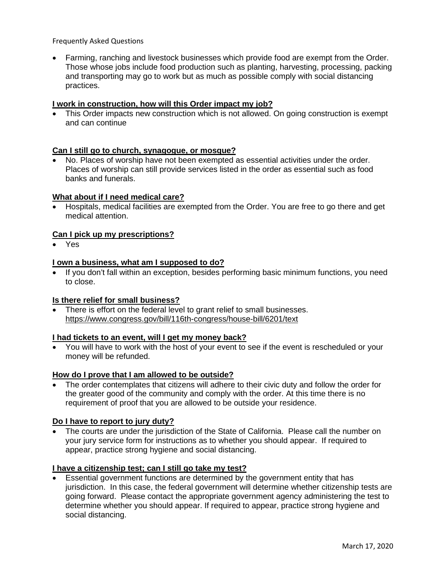• Farming, ranching and livestock businesses which provide food are exempt from the Order. Those whose jobs include food production such as planting, harvesting, processing, packing and transporting may go to work but as much as possible comply with social distancing practices.

## **I work in construction, how will this Order impact my job?**

This Order impacts new construction which is not allowed. On going construction is exempt and can continue

## **Can I still go to church, synagogue, or mosque?**

• No. Places of worship have not been exempted as essential activities under the order. Places of worship can still provide services listed in the order as essential such as food banks and funerals.

#### **What about if I need medical care?**

• Hospitals, medical facilities are exempted from the Order. You are free to go there and get medical attention.

#### **Can I pick up my prescriptions?**

• Yes

#### **I own a business, what am I supposed to do?**

• If you don't fall within an exception, besides performing basic minimum functions, you need to close.

#### **Is there relief for small business?**

• There is effort on the federal level to grant relief to small businesses. <https://www.congress.gov/bill/116th-congress/house-bill/6201/text>

#### **I had tickets to an event, will I get my money back?**

• You will have to work with the host of your event to see if the event is rescheduled or your money will be refunded.

#### **How do I prove that I am allowed to be outside?**

• The order contemplates that citizens will adhere to their civic duty and follow the order for the greater good of the community and comply with the order. At this time there is no requirement of proof that you are allowed to be outside your residence.

#### **Do I have to report to jury duty?**

• The courts are under the jurisdiction of the State of California. Please call the number on your jury service form for instructions as to whether you should appear. If required to appear, practice strong hygiene and social distancing.

### **I have a citizenship test; can I still go take my test?**

• Essential government functions are determined by the government entity that has jurisdiction. In this case, the federal government will determine whether citizenship tests are going forward. Please contact the appropriate government agency administering the test to determine whether you should appear. If required to appear, practice strong hygiene and social distancing.